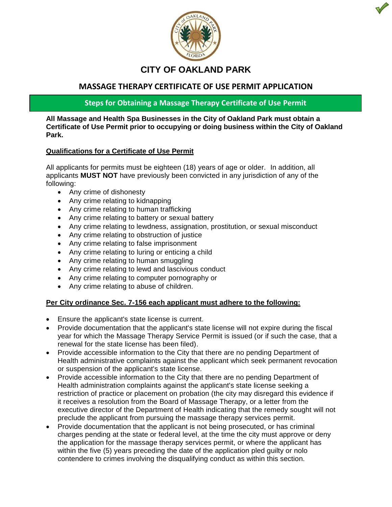

# **CITY OF OAKLAND PARK**

# **MASSAGE THERAPY CERTIFICATE OF USE PERMIT APPLICATION**

**Steps for Obtaining a Massage Therapy Certificate of Use Permit**

**All Massage and Health Spa Businesses in the City of Oakland Park must obtain a Certificate of Use Permit prior to occupying or doing business within the City of Oakland Park.** 

### **Qualifications for a Certificate of Use Permit**

All applicants for permits must be eighteen (18) years of age or older. In addition, all applicants **MUST NOT** have previously been convicted in any jurisdiction of any of the following:

- Any crime of dishonesty
- Any crime relating to kidnapping
- Any crime relating to human trafficking
- Any crime relating to battery or sexual battery
- Any crime relating to lewdness, assignation, prostitution, or sexual misconduct
- Any crime relating to obstruction of justice
- Any crime relating to false imprisonment
- Any crime relating to luring or enticing a child
- Any crime relating to human smuggling
- Any crime relating to lewd and lascivious conduct
- Any crime relating to computer pornography or
- Any crime relating to abuse of children.

# **Per City ordinance Sec. 7-156 each applicant must adhere to the following:**

- Ensure the applicant's state license is current.
- Provide documentation that the applicant's state license will not expire during the fiscal year for which the Massage Therapy Service Permit is issued (or if such the case, that a renewal for the state license has been filed).
- Provide accessible information to the City that there are no pending Department of Health administrative complaints against the applicant which seek permanent revocation or suspension of the applicant's state license.
- Provide accessible information to the City that there are no pending Department of Health administration complaints against the applicant's state license seeking a restriction of practice or placement on probation (the city may disregard this evidence if it receives a resolution from the Board of Massage Therapy, or a letter from the executive director of the Department of Health indicating that the remedy sought will not preclude the applicant from pursuing the massage therapy services permit.
- Provide documentation that the applicant is not being prosecuted, or has criminal charges pending at the state or federal level, at the time the city must approve or deny the application for the massage therapy services permit, or where the applicant has within the five (5) years preceding the date of the application pled guilty or nolo contendere to crimes involving the disqualifying conduct as within this section.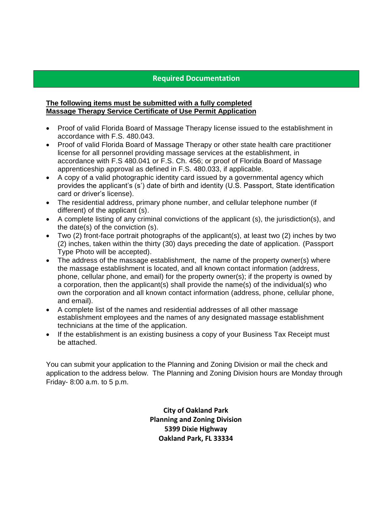## **Required Documentation**

#### **The following items must be submitted with a fully completed Massage Therapy Service Certificate of Use Permit Application**

- Proof of valid Florida Board of Massage Therapy license issued to the establishment in accordance with F.S. 480.043.
- Proof of valid Florida Board of Massage Therapy or other state health care practitioner license for all personnel providing massage services at the establishment, in accordance with F.S 480.041 or F.S. Ch. 456; or proof of Florida Board of Massage apprenticeship approval as defined in F.S. 480.033, if applicable.
- A copy of a valid photographic identity card issued by a governmental agency which provides the applicant's (s') date of birth and identity (U.S. Passport, State identification card or driver's license).
- The residential address, primary phone number, and cellular telephone number (if different) of the applicant (s).
- A complete listing of any criminal convictions of the applicant (s), the jurisdiction(s), and the date(s) of the conviction (s).
- Two (2) front-face portrait photographs of the applicant(s), at least two (2) inches by two (2) inches, taken within the thirty (30) days preceding the date of application. (Passport Type Photo will be accepted).
- The address of the massage establishment, the name of the property owner(s) where the massage establishment is located, and all known contact information (address, phone, cellular phone, and email) for the property owner(s); if the property is owned by a corporation, then the applicant(s) shall provide the name(s) of the individual(s) who own the corporation and all known contact information (address, phone, cellular phone, and email).
- A complete list of the names and residential addresses of all other massage establishment employees and the names of any designated massage establishment technicians at the time of the application.
- If the establishment is an existing business a copy of your Business Tax Receipt must be attached.

You can submit your application to the Planning and Zoning Division or mail the check and application to the address below. The Planning and Zoning Division hours are Monday through Friday- 8:00 a.m. to 5 p.m.

> **City of Oakland Park Planning and Zoning Division 5399 Dixie Highway Oakland Park, FL 33334**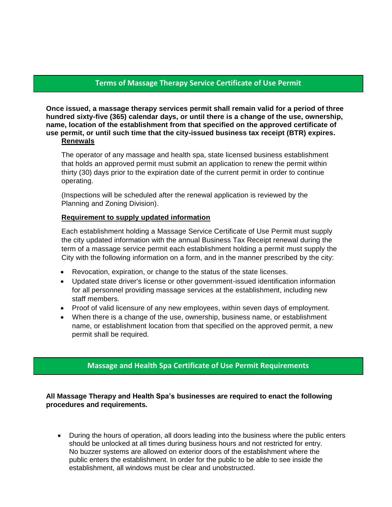# **Terms of Massage Therapy Service Certificate of Use Permit**

**Once issued, a massage therapy services permit shall remain valid for a period of three hundred sixty-five (365) calendar days, or until there is a change of the use, ownership, name, location of the establishment from that specified on the approved certificate of use permit, or until such time that the city-issued business tax receipt (BTR) expires. Renewals**

#### The operator of any massage and health spa, state licensed business establishment that holds an approved permit must submit an application to renew the permit within thirty (30) days prior to the expiration date of the current permit in order to continue operating.

(Inspections will be scheduled after the renewal application is reviewed by the Planning and Zoning Division).

#### **Requirement to supply updated information**

Each establishment holding a Massage Service Certificate of Use Permit must supply the city updated information with the annual Business Tax Receipt renewal during the term of a massage service permit each establishment holding a permit must supply the City with the following information on a form, and in the manner prescribed by the city:

- Revocation, expiration, or change to the status of the state licenses.
- Updated state driver's license or other government-issued identification information for all personnel providing massage services at the establishment, including new staff members.
- Proof of valid licensure of any new employees, within seven days of employment.
- When there is a change of the use, ownership, business name, or establishment name, or establishment location from that specified on the approved permit, a new permit shall be required.

# **Massage and Health Spa Certificate of Use Permit Requirements**

**All Massage Therapy and Health Spa's businesses are required to enact the following procedures and requirements.**

 During the hours of operation, all doors leading into the business where the public enters should be unlocked at all times during business hours and not restricted for entry. No buzzer systems are allowed on exterior doors of the establishment where the public enters the establishment. In order for the public to be able to see inside the establishment, all windows must be clear and unobstructed.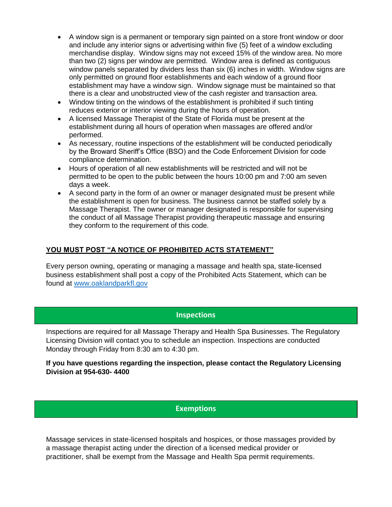- A window sign is a permanent or temporary sign painted on a store front window or door and include any interior signs or advertising within five (5) feet of a window excluding merchandise display. Window signs may not exceed 15% of the window area. No more than two (2) signs per window are permitted. Window area is defined as contiguous window panels separated by dividers less than six (6) inches in width. Window signs are only permitted on ground floor establishments and each window of a ground floor establishment may have a window sign. Window signage must be maintained so that there is a clear and unobstructed view of the cash register and transaction area.
- Window tinting on the windows of the establishment is prohibited if such tinting reduces exterior or interior viewing during the hours of operation.
- A licensed Massage Therapist of the State of Florida must be present at the establishment during all hours of operation when massages are offered and/or performed.
- As necessary, routine inspections of the establishment will be conducted periodically by the Broward Sheriff's Office (BSO) and the Code Enforcement Division for code compliance determination.
- Hours of operation of all new establishments will be restricted and will not be permitted to be open to the public between the hours 10:00 pm and 7:00 am seven days a week.
- A second party in the form of an owner or manager designated must be present while the establishment is open for business. The business cannot be staffed solely by a Massage Therapist. The owner or manager designated is responsible for supervising the conduct of all Massage Therapist providing therapeutic massage and ensuring they conform to the requirement of this code.

# **YOU MUST POST "A NOTICE OF PROHIBITED ACTS STATEMENT"**

Every person owning, operating or managing a massage and health spa, state-licensed business establishment shall post a copy of the Prohibited Acts Statement, which can be found at www.oaklandparkfl.gov

### **Inspections**

Inspections are required for all Massage Therapy and Health Spa Businesses. The Regulatory Licensing Division will contact you to schedule an inspection. Inspections are conducted Monday through Friday from 8:30 am to 4:30 pm.

#### **If you have questions regarding the inspection, please contact the Regulatory Licensing Division at 954-630- 4400**

# **Exemptions**

Massage services in state-licensed hospitals and hospices, or those massages provided by a massage therapist acting under the direction of a licensed medical provider or practitioner, shall be exempt from the Massage and Health Spa permit requirements.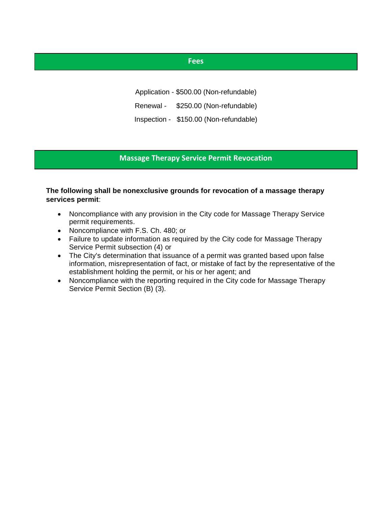### **Fees**

Application - \$500.00 (Non-refundable)

Renewal - \$250.00 (Non-refundable)

Inspection - \$150.00 (Non-refundable)

#### **Massage Therapy Service Permit Revocation**

### **The following shall be nonexclusive grounds for revocation of a massage therapy services permit**:

- Noncompliance with any provision in the City code for Massage Therapy Service permit requirements.
- Noncompliance with F.S. Ch. 480; or
- Failure to update information as required by the City code for Massage Therapy Service Permit subsection (4) or
- The City's determination that issuance of a permit was granted based upon false information, misrepresentation of fact, or mistake of fact by the representative of the establishment holding the permit, or his or her agent; and
- Noncompliance with the reporting required in the City code for Massage Therapy Service Permit Section (B) (3).